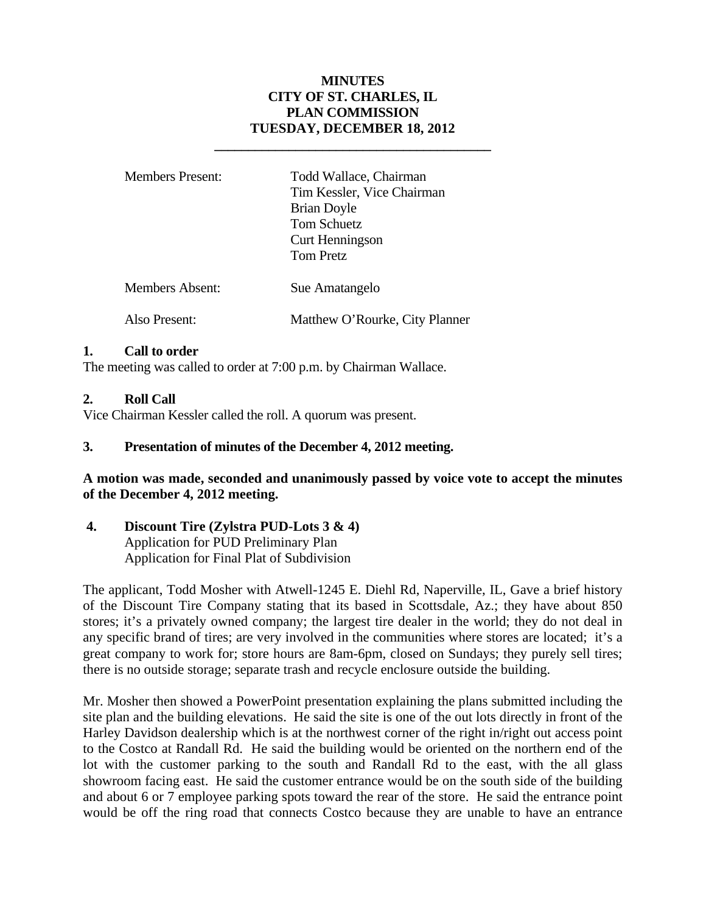# **MINUTES CITY OF ST. CHARLES, IL PLAN COMMISSION TUESDAY, DECEMBER 18, 2012**

| <b>Members Present:</b> | Todd Wallace, Chairman<br>Tim Kessler, Vice Chairman<br><b>Brian Doyle</b><br><b>Tom Schuetz</b><br><b>Curt Henningson</b><br><b>Tom Pretz</b> |
|-------------------------|------------------------------------------------------------------------------------------------------------------------------------------------|
| <b>Members Absent:</b>  | Sue Amatangelo                                                                                                                                 |
| Also Present:           | Matthew O'Rourke, City Planner                                                                                                                 |

 **\_\_\_\_\_\_\_\_\_\_\_\_\_\_\_\_\_\_\_\_\_\_\_\_\_\_\_\_\_\_\_\_\_\_\_\_\_\_\_\_\_** 

### **1. Call to order**

The meeting was called to order at 7:00 p.m. by Chairman Wallace.

# **2. Roll Call**

Vice Chairman Kessler called the roll. A quorum was present.

## **3. Presentation of minutes of the December 4, 2012 meeting.**

**A motion was made, seconded and unanimously passed by voice vote to accept the minutes of the December 4, 2012 meeting.** 

**4. Discount Tire (Zylstra PUD-Lots 3 & 4)**  Application for PUD Preliminary Plan Application for Final Plat of Subdivision

The applicant, Todd Mosher with Atwell-1245 E. Diehl Rd, Naperville, IL, Gave a brief history of the Discount Tire Company stating that its based in Scottsdale, Az.; they have about 850 stores; it's a privately owned company; the largest tire dealer in the world; they do not deal in any specific brand of tires; are very involved in the communities where stores are located; it's a great company to work for; store hours are 8am-6pm, closed on Sundays; they purely sell tires; there is no outside storage; separate trash and recycle enclosure outside the building.

Mr. Mosher then showed a PowerPoint presentation explaining the plans submitted including the site plan and the building elevations. He said the site is one of the out lots directly in front of the Harley Davidson dealership which is at the northwest corner of the right in/right out access point to the Costco at Randall Rd. He said the building would be oriented on the northern end of the lot with the customer parking to the south and Randall Rd to the east, with the all glass showroom facing east. He said the customer entrance would be on the south side of the building and about 6 or 7 employee parking spots toward the rear of the store. He said the entrance point would be off the ring road that connects Costco because they are unable to have an entrance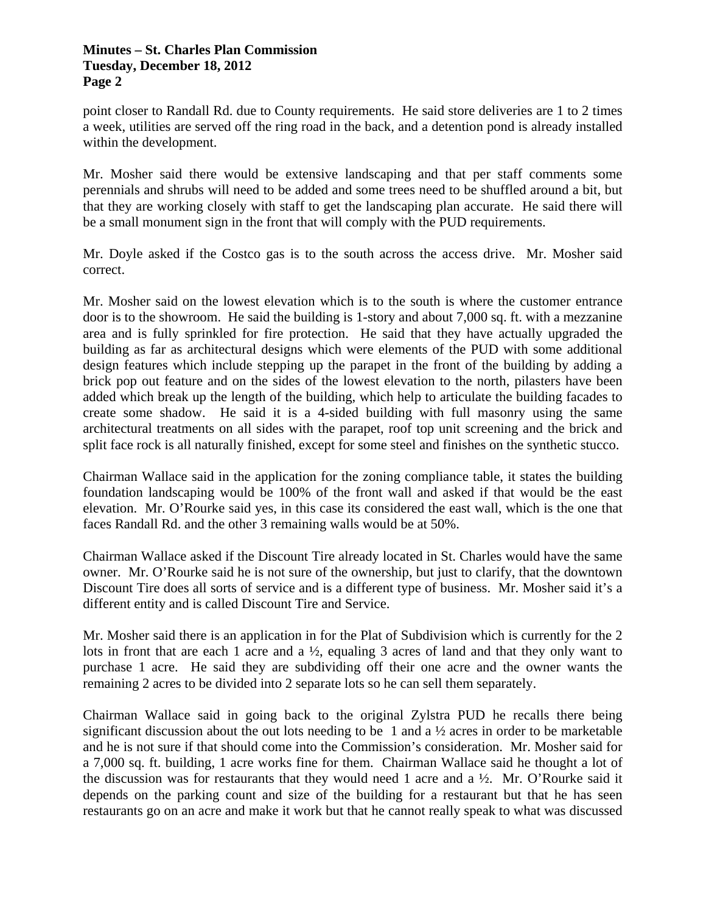point closer to Randall Rd. due to County requirements. He said store deliveries are 1 to 2 times a week, utilities are served off the ring road in the back, and a detention pond is already installed within the development.

Mr. Mosher said there would be extensive landscaping and that per staff comments some perennials and shrubs will need to be added and some trees need to be shuffled around a bit, but that they are working closely with staff to get the landscaping plan accurate. He said there will be a small monument sign in the front that will comply with the PUD requirements.

Mr. Doyle asked if the Costco gas is to the south across the access drive. Mr. Mosher said correct.

Mr. Mosher said on the lowest elevation which is to the south is where the customer entrance door is to the showroom. He said the building is 1-story and about 7,000 sq. ft. with a mezzanine area and is fully sprinkled for fire protection. He said that they have actually upgraded the building as far as architectural designs which were elements of the PUD with some additional design features which include stepping up the parapet in the front of the building by adding a brick pop out feature and on the sides of the lowest elevation to the north, pilasters have been added which break up the length of the building, which help to articulate the building facades to create some shadow. He said it is a 4-sided building with full masonry using the same architectural treatments on all sides with the parapet, roof top unit screening and the brick and split face rock is all naturally finished, except for some steel and finishes on the synthetic stucco.

Chairman Wallace said in the application for the zoning compliance table, it states the building foundation landscaping would be 100% of the front wall and asked if that would be the east elevation. Mr. O'Rourke said yes, in this case its considered the east wall, which is the one that faces Randall Rd. and the other 3 remaining walls would be at 50%.

Chairman Wallace asked if the Discount Tire already located in St. Charles would have the same owner. Mr. O'Rourke said he is not sure of the ownership, but just to clarify, that the downtown Discount Tire does all sorts of service and is a different type of business. Mr. Mosher said it's a different entity and is called Discount Tire and Service.

Mr. Mosher said there is an application in for the Plat of Subdivision which is currently for the 2 lots in front that are each 1 acre and a ½, equaling 3 acres of land and that they only want to purchase 1 acre. He said they are subdividing off their one acre and the owner wants the remaining 2 acres to be divided into 2 separate lots so he can sell them separately.

Chairman Wallace said in going back to the original Zylstra PUD he recalls there being significant discussion about the out lots needing to be 1 and a ½ acres in order to be marketable and he is not sure if that should come into the Commission's consideration. Mr. Mosher said for a 7,000 sq. ft. building, 1 acre works fine for them. Chairman Wallace said he thought a lot of the discussion was for restaurants that they would need 1 acre and a  $\frac{1}{2}$ . Mr. O'Rourke said it depends on the parking count and size of the building for a restaurant but that he has seen restaurants go on an acre and make it work but that he cannot really speak to what was discussed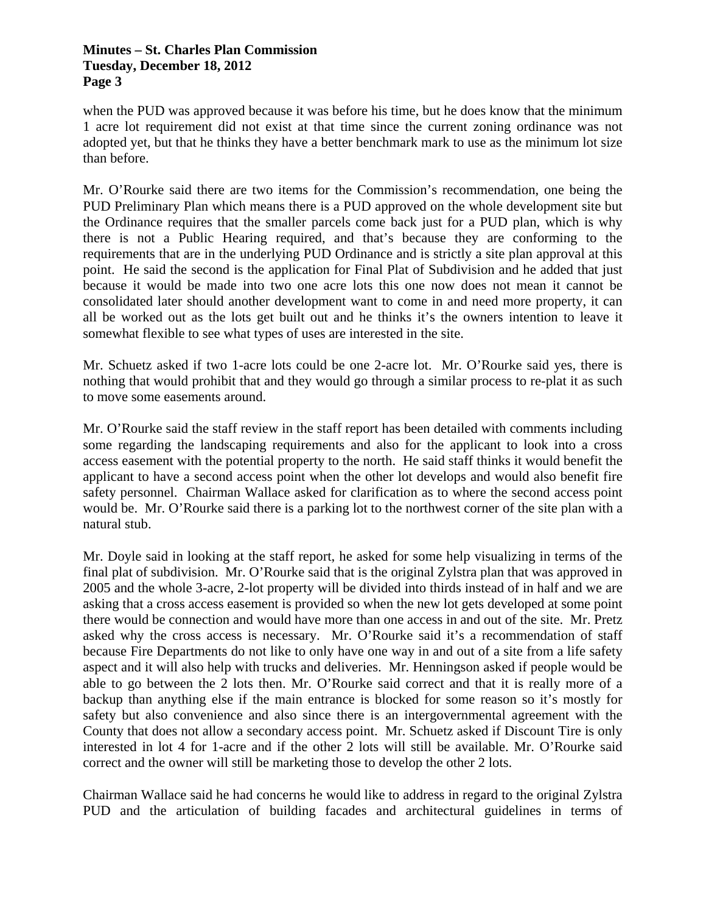when the PUD was approved because it was before his time, but he does know that the minimum 1 acre lot requirement did not exist at that time since the current zoning ordinance was not adopted yet, but that he thinks they have a better benchmark mark to use as the minimum lot size than before.

Mr. O'Rourke said there are two items for the Commission's recommendation, one being the PUD Preliminary Plan which means there is a PUD approved on the whole development site but the Ordinance requires that the smaller parcels come back just for a PUD plan, which is why there is not a Public Hearing required, and that's because they are conforming to the requirements that are in the underlying PUD Ordinance and is strictly a site plan approval at this point. He said the second is the application for Final Plat of Subdivision and he added that just because it would be made into two one acre lots this one now does not mean it cannot be consolidated later should another development want to come in and need more property, it can all be worked out as the lots get built out and he thinks it's the owners intention to leave it somewhat flexible to see what types of uses are interested in the site.

Mr. Schuetz asked if two 1-acre lots could be one 2-acre lot. Mr. O'Rourke said yes, there is nothing that would prohibit that and they would go through a similar process to re-plat it as such to move some easements around.

Mr. O'Rourke said the staff review in the staff report has been detailed with comments including some regarding the landscaping requirements and also for the applicant to look into a cross access easement with the potential property to the north. He said staff thinks it would benefit the applicant to have a second access point when the other lot develops and would also benefit fire safety personnel. Chairman Wallace asked for clarification as to where the second access point would be. Mr. O'Rourke said there is a parking lot to the northwest corner of the site plan with a natural stub.

Mr. Doyle said in looking at the staff report, he asked for some help visualizing in terms of the final plat of subdivision. Mr. O'Rourke said that is the original Zylstra plan that was approved in 2005 and the whole 3-acre, 2-lot property will be divided into thirds instead of in half and we are asking that a cross access easement is provided so when the new lot gets developed at some point there would be connection and would have more than one access in and out of the site. Mr. Pretz asked why the cross access is necessary. Mr. O'Rourke said it's a recommendation of staff because Fire Departments do not like to only have one way in and out of a site from a life safety aspect and it will also help with trucks and deliveries. Mr. Henningson asked if people would be able to go between the 2 lots then. Mr. O'Rourke said correct and that it is really more of a backup than anything else if the main entrance is blocked for some reason so it's mostly for safety but also convenience and also since there is an intergovernmental agreement with the County that does not allow a secondary access point. Mr. Schuetz asked if Discount Tire is only interested in lot 4 for 1-acre and if the other 2 lots will still be available. Mr. O'Rourke said correct and the owner will still be marketing those to develop the other 2 lots.

Chairman Wallace said he had concerns he would like to address in regard to the original Zylstra PUD and the articulation of building facades and architectural guidelines in terms of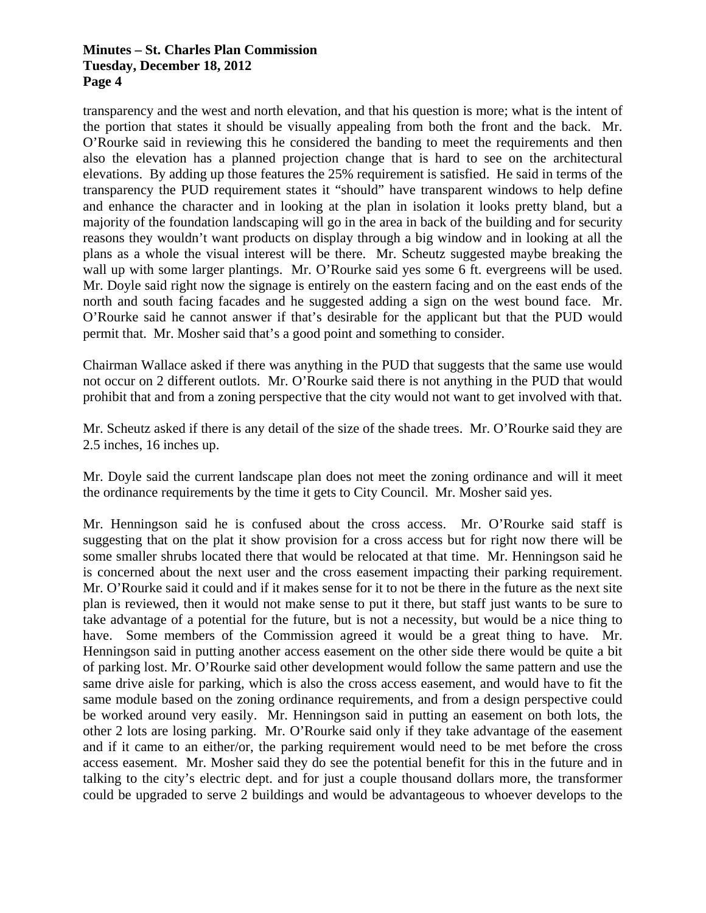transparency and the west and north elevation, and that his question is more; what is the intent of the portion that states it should be visually appealing from both the front and the back. Mr. O'Rourke said in reviewing this he considered the banding to meet the requirements and then also the elevation has a planned projection change that is hard to see on the architectural elevations. By adding up those features the 25% requirement is satisfied. He said in terms of the transparency the PUD requirement states it "should" have transparent windows to help define and enhance the character and in looking at the plan in isolation it looks pretty bland, but a majority of the foundation landscaping will go in the area in back of the building and for security reasons they wouldn't want products on display through a big window and in looking at all the plans as a whole the visual interest will be there. Mr. Scheutz suggested maybe breaking the wall up with some larger plantings. Mr. O'Rourke said yes some 6 ft. evergreens will be used. Mr. Doyle said right now the signage is entirely on the eastern facing and on the east ends of the north and south facing facades and he suggested adding a sign on the west bound face. Mr. O'Rourke said he cannot answer if that's desirable for the applicant but that the PUD would permit that. Mr. Mosher said that's a good point and something to consider.

Chairman Wallace asked if there was anything in the PUD that suggests that the same use would not occur on 2 different outlots. Mr. O'Rourke said there is not anything in the PUD that would prohibit that and from a zoning perspective that the city would not want to get involved with that.

Mr. Scheutz asked if there is any detail of the size of the shade trees. Mr. O'Rourke said they are 2.5 inches, 16 inches up.

Mr. Doyle said the current landscape plan does not meet the zoning ordinance and will it meet the ordinance requirements by the time it gets to City Council. Mr. Mosher said yes.

Mr. Henningson said he is confused about the cross access. Mr. O'Rourke said staff is suggesting that on the plat it show provision for a cross access but for right now there will be some smaller shrubs located there that would be relocated at that time. Mr. Henningson said he is concerned about the next user and the cross easement impacting their parking requirement. Mr. O'Rourke said it could and if it makes sense for it to not be there in the future as the next site plan is reviewed, then it would not make sense to put it there, but staff just wants to be sure to take advantage of a potential for the future, but is not a necessity, but would be a nice thing to have. Some members of the Commission agreed it would be a great thing to have. Mr. Henningson said in putting another access easement on the other side there would be quite a bit of parking lost. Mr. O'Rourke said other development would follow the same pattern and use the same drive aisle for parking, which is also the cross access easement, and would have to fit the same module based on the zoning ordinance requirements, and from a design perspective could be worked around very easily. Mr. Henningson said in putting an easement on both lots, the other 2 lots are losing parking. Mr. O'Rourke said only if they take advantage of the easement and if it came to an either/or, the parking requirement would need to be met before the cross access easement. Mr. Mosher said they do see the potential benefit for this in the future and in talking to the city's electric dept. and for just a couple thousand dollars more, the transformer could be upgraded to serve 2 buildings and would be advantageous to whoever develops to the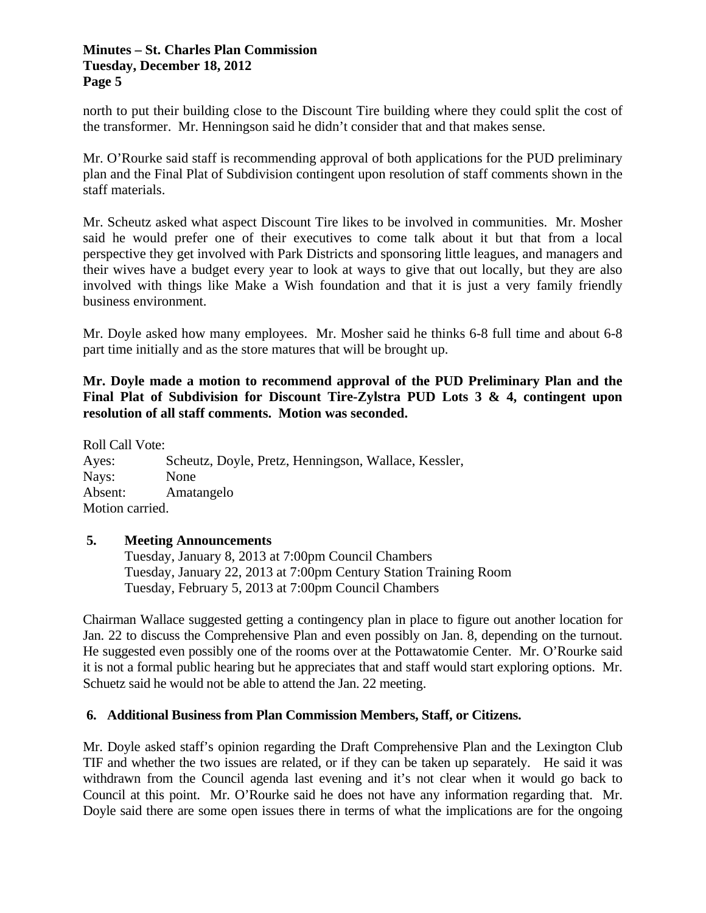north to put their building close to the Discount Tire building where they could split the cost of the transformer. Mr. Henningson said he didn't consider that and that makes sense.

Mr. O'Rourke said staff is recommending approval of both applications for the PUD preliminary plan and the Final Plat of Subdivision contingent upon resolution of staff comments shown in the staff materials.

Mr. Scheutz asked what aspect Discount Tire likes to be involved in communities. Mr. Mosher said he would prefer one of their executives to come talk about it but that from a local perspective they get involved with Park Districts and sponsoring little leagues, and managers and their wives have a budget every year to look at ways to give that out locally, but they are also involved with things like Make a Wish foundation and that it is just a very family friendly business environment.

Mr. Doyle asked how many employees. Mr. Mosher said he thinks 6-8 full time and about 6-8 part time initially and as the store matures that will be brought up.

# **Mr. Doyle made a motion to recommend approval of the PUD Preliminary Plan and the Final Plat of Subdivision for Discount Tire-Zylstra PUD Lots 3 & 4, contingent upon resolution of all staff comments. Motion was seconded.**

Roll Call Vote: Ayes: Scheutz, Doyle, Pretz, Henningson, Wallace, Kessler, Nays: None Absent: Amatangelo Motion carried.

### **5. Meeting Announcements**

 Tuesday, January 8, 2013 at 7:00pm Council Chambers Tuesday, January 22, 2013 at 7:00pm Century Station Training Room Tuesday, February 5, 2013 at 7:00pm Council Chambers

Chairman Wallace suggested getting a contingency plan in place to figure out another location for Jan. 22 to discuss the Comprehensive Plan and even possibly on Jan. 8, depending on the turnout. He suggested even possibly one of the rooms over at the Pottawatomie Center. Mr. O'Rourke said it is not a formal public hearing but he appreciates that and staff would start exploring options. Mr. Schuetz said he would not be able to attend the Jan. 22 meeting.

# **6. Additional Business from Plan Commission Members, Staff, or Citizens.**

Mr. Doyle asked staff's opinion regarding the Draft Comprehensive Plan and the Lexington Club TIF and whether the two issues are related, or if they can be taken up separately. He said it was withdrawn from the Council agenda last evening and it's not clear when it would go back to Council at this point. Mr. O'Rourke said he does not have any information regarding that. Mr. Doyle said there are some open issues there in terms of what the implications are for the ongoing